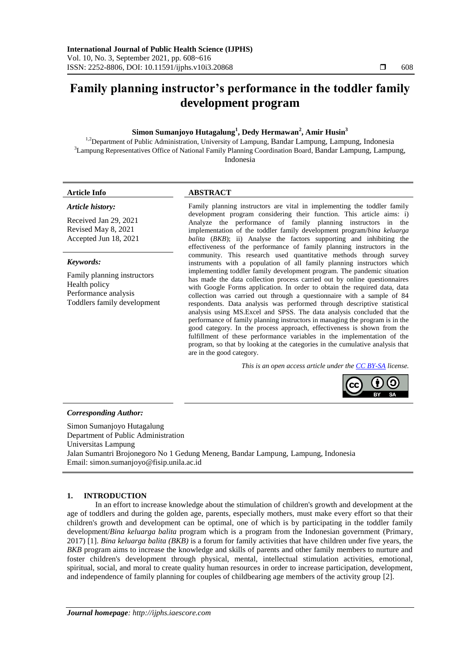# **Family planning instructor's performance in the toddler family development program**

# **Simon Sumanjoyo Hutagalung<sup>1</sup> , Dedy Hermawan<sup>2</sup> , Amir Husin<sup>3</sup>**

<sup>1,2</sup>Department of Public Administration, University of Lampung, Bandar Lampung, Lampung, Indonesia <sup>3</sup>Lampung Representatives Office of National Family Planning Coordination Board, Bandar Lampung, Lampung, Indonesia

### **Article Info ABSTRACT**

#### *Article history:*

Received Jan 29, 2021 Revised May 8, 2021 Accepted Jun 18, 2021

#### *Keywords:*

Family planning instructors Health policy Performance analysis Toddlers family development

Family planning instructors are vital in implementing the toddler family development program considering their function. This article aims: i) Analyze the performance of family planning instructors in the implementation of the toddler family development program/*bina keluarga balita* (*BKB*); ii) Analyse the factors supporting and inhibiting the effectiveness of the performance of family planning instructors in the community. This research used quantitative methods through survey instruments with a population of all family planning instructors which implementing toddler family development program. The pandemic situation has made the data collection process carried out by online questionnaires with Google Forms application. In order to obtain the required data, data collection was carried out through a questionnaire with a sample of 84 respondents. Data analysis was performed through descriptive statistical analysis using MS.Excel and SPSS. The data analysis concluded that the performance of family planning instructors in managing the program is in the good category. In the process approach, effectiveness is shown from the fulfillment of these performance variables in the implementation of the program, so that by looking at the categories in the cumulative analysis that are in the good category.

*This is an open access article under the [CC BY-SA](https://creativecommons.org/licenses/by-sa/4.0/) license.*



### *Corresponding Author:*

Simon Sumanjoyo Hutagalung Department of Public Administration Universitas Lampung Jalan Sumantri Brojonegoro No 1 Gedung Meneng, Bandar Lampung, Lampung, Indonesia Email: [simon.sumanjoyo@fisip.unila.ac.id](mailto:simon.sumanjoyo@fisip.unila.ac.id)

# **1. INTRODUCTION**

In an effort to increase knowledge about the stimulation of children's growth and development at the age of toddlers and during the golden age, parents, especially mothers, must make every effort so that their children's growth and development can be optimal, one of which is by participating in the toddler family development/*Bina keluarga balita* program which is a program from the Indonesian government (Primary, 2017) [1]. *Bina keluarga balita (BKB)* is a forum for family activities that have children under five years, the *BKB* program aims to increase the knowledge and skills of parents and other family members to nurture and foster children's development through physical, mental, intellectual stimulation activities, emotional, spiritual, social, and moral to create quality human resources in order to increase participation, development, and independence of family planning for couples of childbearing age members of the activity group [2].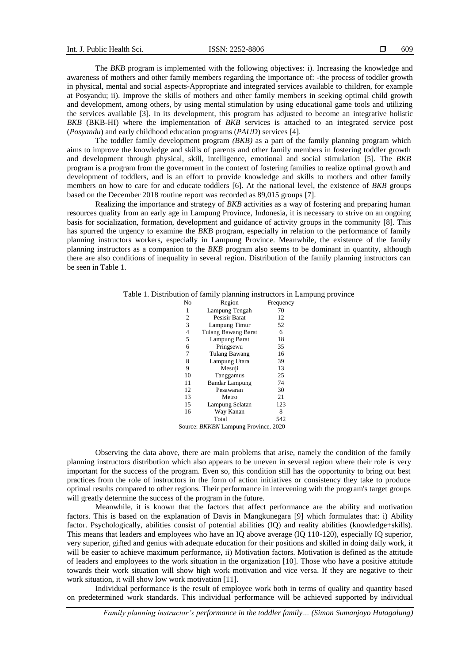The *BKB* program is implemented with the following objectives: i). Increasing the knowledge and awareness of mothers and other family members regarding the importance of: -the process of toddler growth in physical, mental and social aspects-Appropriate and integrated services available to children, for example at Posyandu; ii). Improve the skills of mothers and other family members in seeking optimal child growth and development, among others, by using mental stimulation by using educational game tools and utilizing the services available [3]. In its development, this program has adjusted to become an integrative holistic *BKB* (BKB-HI) where the implementation of *BKB* services is attached to an integrated service post (*Posyandu*) and early childhood education programs (*PAUD*) services [4].

The toddler family development program *(BKB)* as a part of the family planning program which aims to improve the knowledge and skills of parents and other family members in fostering toddler growth and development through physical, skill, intelligence, emotional and social stimulation [5]. The *BKB* program is a program from the government in the context of fostering families to realize optimal growth and development of toddlers, and is an effort to provide knowledge and skills to mothers and other family members on how to care for and educate toddlers [6]. At the national level, the existence of *BKB* groups based on the December 2018 routine report was recorded as 89,015 groups [7].

Realizing the importance and strategy of *BKB* activities as a way of fostering and preparing human resources quality from an early age in Lampung Province, Indonesia, it is necessary to strive on an ongoing basis for socialization, formation, development and guidance of activity groups in the community [8]. This has spurred the urgency to examine the *BKB* program, especially in relation to the performance of family planning instructors workers, especially in Lampung Province. Meanwhile, the existence of the family planning instructors as a companion to the *BKB* program also seems to be dominant in quantity, although there are also conditions of inequality in several region. Distribution of the family planning instructors can be seen in Table 1.

| No | Region                     | Frequency |
|----|----------------------------|-----------|
| 1  | Lampung Tengah             | 70        |
| 2  | Pesisir Barat              | 12        |
| 3  | Lampung Timur              | 52        |
| 4  | <b>Tulang Bawang Barat</b> | 6         |
| 5  | Lampung Barat              | 18        |
| 6  | Pringsewu                  | 35        |
| 7  | Tulang Bawang              | 16        |
| 8  | Lampung Utara              | 39        |
| 9  | Mesuji                     | 13        |
| 10 | Tanggamus                  | 25        |
| 11 | <b>Bandar Lampung</b>      | 74        |
| 12 | Pesawaran                  | 30        |
| 13 | Metro                      | 21        |
| 15 | Lampung Selatan            | 123       |
| 16 | Way Kanan                  | 8         |
|    | Total                      | 542       |

Table 1. Distribution of family planning instructors in Lampung province

Source: *BKKBN* Lampung Province, 2020

Observing the data above, there are main problems that arise, namely the condition of the family planning instructors distribution which also appears to be uneven in several region where their role is very important for the success of the program. Even so, this condition still has the opportunity to bring out best practices from the role of instructors in the form of action initiatives or consistency they take to produce optimal results compared to other regions. Their performance in intervening with the program's target groups will greatly determine the success of the program in the future.

Meanwhile, it is known that the factors that affect performance are the ability and motivation factors. This is based on the explanation of Davis in Mangkunegara [9] which formulates that: i) Ability factor. Psychologically, abilities consist of potential abilities (IQ) and reality abilities (knowledge+skills). This means that leaders and employees who have an IQ above average (IQ 110-120), especially IQ superior, very superior, gifted and genius with adequate education for their positions and skilled in doing daily work, it will be easier to achieve maximum performance, ii) Motivation factors. Motivation is defined as the attitude of leaders and employees to the work situation in the organization [10]. Those who have a positive attitude towards their work situation will show high work motivation and vice versa. If they are negative to their work situation, it will show low work motivation [11].

Individual performance is the result of employee work both in terms of quality and quantity based on predetermined work standards. This individual performance will be achieved supported by individual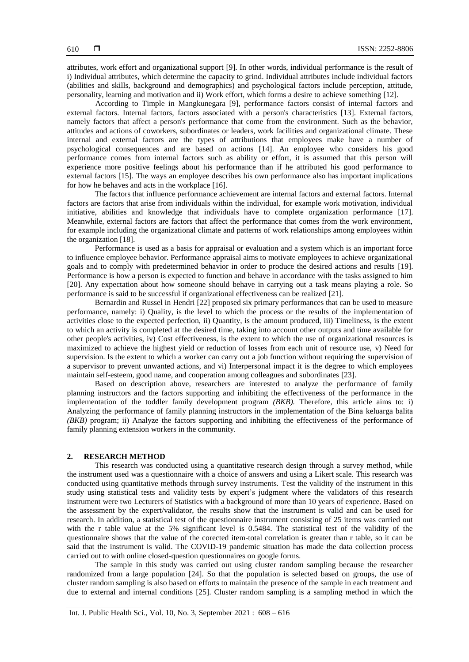attributes, work effort and organizational support [9]. In other words, individual performance is the result of i) Individual attributes, which determine the capacity to grind. Individual attributes include individual factors (abilities and skills, background and demographics) and psychological factors include perception, attitude, personality, learning and motivation and ii) Work effort, which forms a desire to achieve something [12].

According to Timple in Mangkunegara [9], performance factors consist of internal factors and external factors. Internal factors, factors associated with a person's characteristics [13]. External factors, namely factors that affect a person's performance that come from the environment. Such as the behavior, attitudes and actions of coworkers, subordinates or leaders, work facilities and organizational climate. These internal and external factors are the types of attributions that employees make have a number of psychological consequences and are based on actions [14]. An employee who considers his good performance comes from internal factors such as ability or effort, it is assumed that this person will experience more positive feelings about his performance than if he attributed his good performance to external factors [15]. The ways an employee describes his own performance also has important implications for how he behaves and acts in the workplace [16].

The factors that influence performance achievement are internal factors and external factors. Internal factors are factors that arise from individuals within the individual, for example work motivation, individual initiative, abilities and knowledge that individuals have to complete organization performance [17]. Meanwhile, external factors are factors that affect the performance that comes from the work environment, for example including the organizational climate and patterns of work relationships among employees within the organization [18].

Performance is used as a basis for appraisal or evaluation and a system which is an important force to influence employee behavior. Performance appraisal aims to motivate employees to achieve organizational goals and to comply with predetermined behavior in order to produce the desired actions and results [19]. Performance is how a person is expected to function and behave in accordance with the tasks assigned to him [20]. Any expectation about how someone should behave in carrying out a task means playing a role. So performance is said to be successful if organizational effectiveness can be realized [21].

Bernardin and Russel in Hendri [22] proposed six primary performances that can be used to measure performance, namely: i) Quality, is the level to which the process or the results of the implementation of activities close to the expected perfection, ii) Quantity, is the amount produced, iii) Timeliness, is the extent to which an activity is completed at the desired time, taking into account other outputs and time available for other people's activities, iv) Cost effectiveness, is the extent to which the use of organizational resources is maximized to achieve the highest yield or reduction of losses from each unit of resource use, v) Need for supervision. Is the extent to which a worker can carry out a job function without requiring the supervision of a supervisor to prevent unwanted actions, and vi) Interpersonal impact it is the degree to which employees maintain self-esteem, good name, and cooperation among colleagues and subordinates [23].

Based on description above, researchers are interested to analyze the performance of family planning instructors and the factors supporting and inhibiting the effectiveness of the performance in the implementation of the toddler family development program *(BKB).* Therefore, this article aims to: i) Analyzing the performance of family planning instructors in the implementation of the Bina keluarga balita *(BKB)* program; ii) Analyze the factors supporting and inhibiting the effectiveness of the performance of family planning extension workers in the community.

#### **2. RESEARCH METHOD**

This research was conducted using a quantitative research design through a survey method, while the instrument used was a questionnaire with a choice of answers and using a Likert scale. This research was conducted using quantitative methods through survey instruments. Test the validity of the instrument in this study using statistical tests and validity tests by expert's judgment where the validators of this research instrument were two Lecturers of Statistics with a background of more than 10 years of experience. Based on the assessment by the expert/validator, the results show that the instrument is valid and can be used for research. In addition, a statistical test of the questionnaire instrument consisting of 25 items was carried out with the r table value at the 5% significant level is 0.5484. The statistical test of the validity of the questionnaire shows that the value of the corected item-total correlation is greater than r table, so it can be said that the instrument is valid. The COVID-19 pandemic situation has made the data collection process carried out to with online closed-question questionnaires on google forms.

The sample in this study was carried out using cluster random sampling because the researcher randomized from a large population [24]. So that the population is selected based on groups, the use of cluster random sampling is also based on efforts to maintain the presence of the sample in each treatment and due to external and internal conditions [25]. Cluster random sampling is a sampling method in which the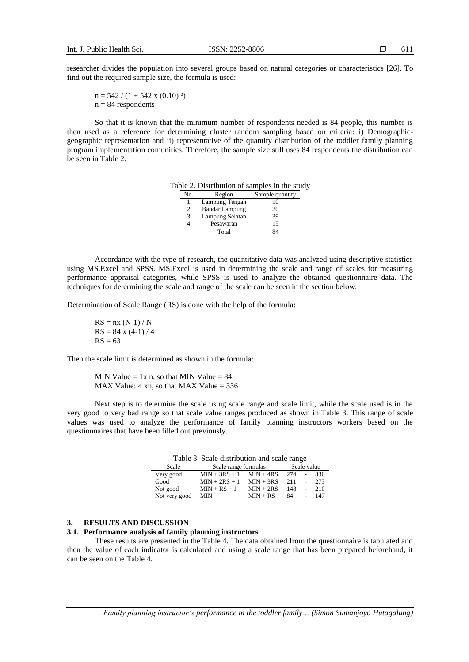researcher divides the population into several groups based on natural categories or characteristics [26]. To find out the required sample size, the formula is used:

 $n = 542 / (1 + 542 \times (0.10)^2)$  $n = 84$  respondents

So that it is known that the minimum number of respondents needed is 84 people, this number is then used as a reference for determining cluster random sampling based on criteria: i) Demographicgeographic representation and ii) representative of the quantity distribution of the toddler family planning program implementation comunities. Therefore, the sample size still uses 84 respondents the distribution can be seen in Table 2.

| No. | Region                | Sample quantity |
|-----|-----------------------|-----------------|
|     | Lampung Tengah        | 10              |
|     | <b>Bandar Lampung</b> | 20              |
| 3   | Lampung Selatan       | 39              |
|     | Pesawaran             | 15              |
|     | Total                 | 84              |

Accordance with the type of research, the quantitative data was analyzed using descriptive statistics using MS.Excel and SPSS. MS.Excel is used in determining the scale and range of scales for measuring performance appraisal categories, while SPSS is used to analyze the obtained questionnaire data. The techniques for determining the scale and range of the scale can be seen in the section below:

Determination of Scale Range (RS) is done with the help of the formula:

$$
RS = nx (N-1) / N
$$
  
RS = 84 x (4-1) / 4  
RS = 63

Then the scale limit is determined as shown in the formula:

MIN Value  $= 1x$  n, so that MIN Value  $= 84$ MAX Value:  $4 \times n$ , so that MAX Value = 336

Next step is to determine the scale using scale range and scale limit, while the scale used is in the very good to very bad range so that scale value ranges produced as shown in Table 3. This range of scale values was used to analyze the performance of family planning instructors workers based on the questionnaires that have been filled out previously.

Table 3. Scale distribution and scale range

| Scale         | Scale range formulas |             | Scale value |  |     |
|---------------|----------------------|-------------|-------------|--|-----|
| Very good     | $MIN + 3RS + 1$      | $MIN + 4RS$ | 274         |  | 336 |
| Good          | $MIN + 2RS + 1$      | $MIN + 3RS$ | 211         |  | 273 |
| Not good      | $MIN + RS + 1$       | $MIN + 2RS$ | 148         |  | 210 |
| Not very good | <b>MIN</b>           | $MIN + RS$  | 84          |  | 147 |

# **3. RESULTS AND DISCUSSION**

# **3.1. Performance analysis of family planning instructors**

These results are presented in the Table 4. The data obtained from the questionnaire is tabulated and then the value of each indicator is calculated and using a scale range that has been prepared beforehand, it can be seen on the Table 4.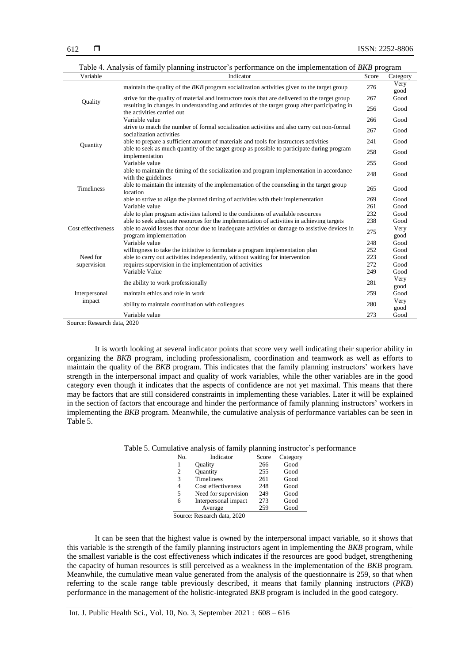| Table 4. Analysis of family planning instructor's performance on the implementation of <i>BKB</i> program |                                                                                                                              |       |              |
|-----------------------------------------------------------------------------------------------------------|------------------------------------------------------------------------------------------------------------------------------|-------|--------------|
| Variable                                                                                                  | Indicator                                                                                                                    | Score | Category     |
|                                                                                                           | maintain the quality of the <i>BKB</i> program socialization activities given to the target group                            | 276   | Very<br>good |
| Quality                                                                                                   | strive for the quality of material and instructors tools that are delivered to the target group                              | 267   | Good         |
|                                                                                                           | resulting in changes in understanding and attitudes of the target group after participating in<br>the activities carried out | 256   | Good         |
|                                                                                                           | Variable value                                                                                                               | 266   | Good         |
|                                                                                                           | strive to match the number of formal socialization activities and also carry out non-formal<br>socialization activities      | 267   | Good         |
| Quantity                                                                                                  | able to prepare a sufficient amount of materials and tools for instructors activities                                        | 241   | Good         |
|                                                                                                           | able to seek as much quantity of the target group as possible to participate during program<br>implementation                | 258   | Good         |
|                                                                                                           | Variable value                                                                                                               | 255   | Good         |
|                                                                                                           | able to maintain the timing of the socialization and program implementation in accordance<br>with the guidelines             | 248   | Good         |
| <b>Timeliness</b>                                                                                         | able to maintain the intensity of the implementation of the counseling in the target group<br>location                       | 265   | Good         |
|                                                                                                           | able to strive to align the planned timing of activities with their implementation                                           | 269   | Good         |
|                                                                                                           | Variable value                                                                                                               | 261   | Good         |
|                                                                                                           | able to plan program activities tailored to the conditions of available resources                                            | 232   | Good         |
|                                                                                                           | able to seek adequate resources for the implementation of activities in achieving targets                                    | 238   | Good         |
| Cost effectiveness                                                                                        | able to avoid losses that occur due to inadequate activities or damage to assistive devices in<br>program implementation     | 275   | Very<br>good |
|                                                                                                           | Variable value                                                                                                               | 248   | Good         |
|                                                                                                           | willingness to take the initiative to formulate a program implementation plan                                                | 252   | Good         |
| Need for                                                                                                  | able to carry out activities independently, without waiting for intervention                                                 | 223   | Good         |
| supervision                                                                                               | requires supervision in the implementation of activities                                                                     | 272   | Good         |
|                                                                                                           | Variable Value                                                                                                               | 249   | Good         |
| Interpersonal<br>impact                                                                                   | the ability to work professionally                                                                                           | 281   | Very<br>good |
|                                                                                                           | maintain ethics and role in work                                                                                             | 259   | Good         |
|                                                                                                           | ability to maintain coordination with colleagues                                                                             | 280   | Very<br>good |
|                                                                                                           | Variable value<br>0.000                                                                                                      | 273   | Good         |

Source: Research data, 2020

It is worth looking at several indicator points that score very well indicating their superior ability in organizing the *BKB* program, including professionalism, coordination and teamwork as well as efforts to maintain the quality of the *BKB* program. This indicates that the family planning instructors' workers have strength in the interpersonal impact and quality of work variables, while the other variables are in the good category even though it indicates that the aspects of confidence are not yet maximal. This means that there may be factors that are still considered constraints in implementing these variables. Later it will be explained in the section of factors that encourage and hinder the performance of family planning instructors' workers in implementing the *BKB* program. Meanwhile, the cumulative analysis of performance variables can be seen in Table 5.

| No. | Indicator            | Score | Category |
|-----|----------------------|-------|----------|
|     | Ouality              | 266   | Good     |
| 2   | <b>Quantity</b>      | 255   | Good     |
| 3   | <b>Timeliness</b>    | 261   | Good     |
| 4   | Cost effectiveness   | 248   | Good     |
| 5   | Need for supervision | 249   | Good     |
| 6   | Interpersonal impact | 273   | Good     |
|     | Average              | 259   | Good     |

Table 5. Cumulative analysis of family planning instructor's performance

Source: Research data, 2020

It can be seen that the highest value is owned by the interpersonal impact variable, so it shows that this variable is the strength of the family planning instructors agent in implementing the *BKB* program, while the smallest variable is the cost effectiveness which indicates if the resources are good budget, strengthening the capacity of human resources is still perceived as a weakness in the implementation of the *BKB* program. Meanwhile, the cumulative mean value generated from the analysis of the questionnaire is 259, so that when referring to the scale range table previously described, it means that family planning instructors (*PKB*) performance in the management of the holistic-integrated *BKB* program is included in the good category.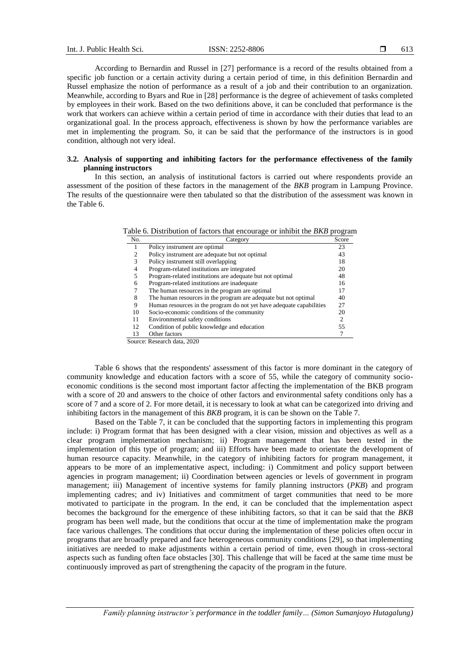According to Bernardin and Russel in [27] performance is a record of the results obtained from a specific job function or a certain activity during a certain period of time, in this definition Bernardin and Russel emphasize the notion of performance as a result of a job and their contribution to an organization. Meanwhile, according to Byars and Rue in [28] performance is the degree of achievement of tasks completed by employees in their work. Based on the two definitions above, it can be concluded that performance is the work that workers can achieve within a certain period of time in accordance with their duties that lead to an organizational goal. In the process approach, effectiveness is shown by how the performance variables are met in implementing the program. So, it can be said that the performance of the instructors is in good condition, although not very ideal.

## **3.2. Analysis of supporting and inhibiting factors for the performance effectiveness of the family planning instructors**

In this section, an analysis of institutional factors is carried out where respondents provide an assessment of the position of these factors in the management of the *BKB* program in Lampung Province. The results of the questionnaire were then tabulated so that the distribution of the assessment was known in the Table 6.

Table 6. Distribution of factors that encourage or inhibit the *BKB* program

| No. | Category                                                             | Score |
|-----|----------------------------------------------------------------------|-------|
|     | Policy instrument are optimal                                        | 23    |
| 2   | Policy instrument are adequate but not optimal                       | 43    |
| 3   | Policy instrument still overlapping                                  | 18    |
| 4   | Program-related institutions are integrated                          | 20    |
| 5   | Program-related institutions are adequate but not optimal            | 48    |
| 6   | Program-related institutions are inadequate                          | 16    |
|     | The human resources in the program are optimal                       | 17    |
| 8   | The human resources in the program are adequate but not optimal      | 40    |
| 9   | Human resources in the program do not yet have adequate capabilities | 27    |
| 10  | Socio-economic conditions of the community                           | 20    |
| 11  | Environmental safety conditions                                      | 2     |
| 12  | Condition of public knowledge and education                          | 55    |
| 13  | Other factors                                                        |       |
|     | Source: Research data, 2020                                          |       |

Table 6 shows that the respondents' assessment of this factor is more dominant in the category of community knowledge and education factors with a score of 55, while the category of community socioeconomic conditions is the second most important factor affecting the implementation of the BKB program with a score of 20 and answers to the choice of other factors and environmental safety conditions only has a score of 7 and a score of 2. For more detail, it is necessary to look at what can be categorized into driving and inhibiting factors in the management of this *BKB* program, it is can be shown on the Table 7.

Based on the Table 7, it can be concluded that the supporting factors in implementing this program include: i) Program format that has been designed with a clear vision, mission and objectives as well as a clear program implementation mechanism; ii) Program management that has been tested in the implementation of this type of program; and iii) Efforts have been made to orientate the development of human resource capacity. Meanwhile, in the category of inhibiting factors for program management, it appears to be more of an implementative aspect, including: i) Commitment and policy support between agencies in program management; ii) Coordination between agencies or levels of government in program management; iii) Management of incentive systems for family planning instructors (*PKB*) and program implementing cadres; and iv) Initiatives and commitment of target communities that need to be more motivated to participate in the program. In the end, it can be concluded that the implementation aspect becomes the background for the emergence of these inhibiting factors, so that it can be said that the *BKB* program has been well made, but the conditions that occur at the time of implementation make the program face various challenges. The conditions that occur during the implementation of these policies often occur in programs that are broadly prepared and face heterogeneous community conditions [29], so that implementing initiatives are needed to make adjustments within a certain period of time, even though in cross-sectoral aspects such as funding often face obstacles [30]. This challenge that will be faced at the same time must be continuously improved as part of strengthening the capacity of the program in the future.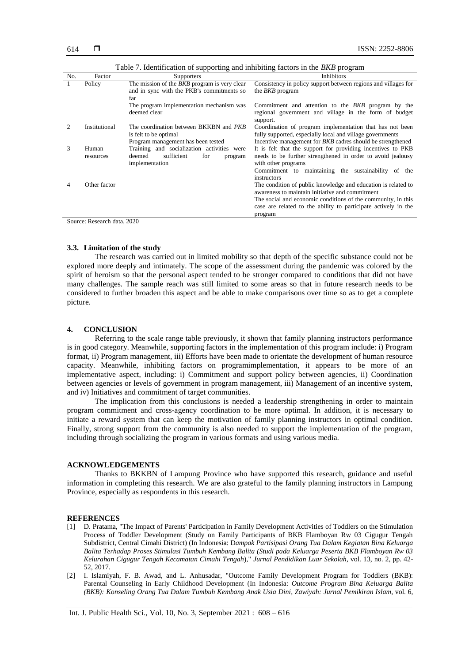| No. | Factor        | <b>Supporters</b>                                   | <b>Inhibitors</b>                                                                                                |
|-----|---------------|-----------------------------------------------------|------------------------------------------------------------------------------------------------------------------|
|     | Policy        | The mission of the <i>BKB</i> program is very clear | Consistency in policy support between regions and villages for                                                   |
|     |               | and in sync with the PKB's commitments so           | the <i>BKB</i> program                                                                                           |
|     |               | far                                                 |                                                                                                                  |
|     |               | The program implementation mechanism was            | Commitment and attention to the <i>BKB</i> program by the                                                        |
|     |               | deemed clear                                        | regional government and village in the form of budget<br>support.                                                |
|     | Institutional | The coordination between BKKBN and <i>PKB</i>       | Coordination of program implementation that has not been                                                         |
|     |               | is felt to be optimal                               | fully supported, especially local and village governments                                                        |
|     |               | Program management has been tested                  | Incentive management for <i>BKB</i> cadres should be strengthened                                                |
| 3   | Human         | Training and socialization activities were          | It is felt that the support for providing incentives to PKB                                                      |
|     | resources     | sufficient<br>deemed<br>for<br>program              | needs to be further strengthened in order to avoid jealousy                                                      |
|     |               | implementation                                      | with other programs                                                                                              |
|     |               |                                                     | Commitment to maintaining the sustainability of<br>the                                                           |
|     |               |                                                     | instructors                                                                                                      |
|     | Other factor  |                                                     | The condition of public knowledge and education is related to<br>awareness to maintain initiative and commitment |
|     |               |                                                     | The social and economic conditions of the community, in this                                                     |
|     |               |                                                     | case are related to the ability to participate actively in the                                                   |
|     |               |                                                     | program                                                                                                          |

Table 7. Identification of supporting and inhibiting factors in the *BKB* program

Source: Research data, 2020

### **3.3. Limitation of the study**

The research was carried out in limited mobility so that depth of the specific substance could not be explored more deeply and intimately. The scope of the assessment during the pandemic was colored by the spirit of heroism so that the personal aspect tended to be stronger compared to conditions that did not have many challenges. The sample reach was still limited to some areas so that in future research needs to be considered to further broaden this aspect and be able to make comparisons over time so as to get a complete picture.

#### **4. CONCLUSION**

Referring to the scale range table previously, it shown that family planning instructors performance is in good category. Meanwhile, supporting factors in the implementation of this program include: i) Program format, ii) Program management, iii) Efforts have been made to orientate the development of human resource capacity. Meanwhile, inhibiting factors on programimplementation, it appears to be more of an implementative aspect, including: i) Commitment and support policy between agencies, ii) Coordination between agencies or levels of government in program management, iii) Management of an incentive system, and iv) Initiatives and commitment of target communities.

The implication from this conclusions is needed a leadership strengthening in order to maintain program commitment and cross-agency coordination to be more optimal. In addition, it is necessary to initiate a reward system that can keep the motivation of family planning instructors in optimal condition. Finally, strong support from the community is also needed to support the implementation of the program, including through socializing the program in various formats and using various media.

#### **ACKNOWLEDGEMENTS**

Thanks to BKKBN of Lampung Province who have supported this research, guidance and useful information in completing this research. We are also grateful to the family planning instructors in Lampung Province, especially as respondents in this research.

#### **REFERENCES**

- [1] D. Pratama, "The Impact of Parents' Participation in Family Development Activities of Toddlers on the Stimulation Process of Toddler Development (Study on Family Participants of BKB Flamboyan Rw 03 Cigugur Tengah Subdistrict, Central Cimahi District) (In Indonesia: D*ampak Partisipasi Orang Tua Dalam Kegiatan Bina Keluarga Balita Terhadap Proses Stimulasi Tumbuh Kembang Balita (Studi pada Keluarga Peserta BKB Flamboyan Rw 03 Kelurahan Cigugur Tengah Kecamatan Cimahi Tengah*)," *Jurnal Pendidikan Luar Sekolah*, vol. 13, no. 2, pp. 42- 52, 2017.
- [2] I. Islamiyah, F. B. Awad, and L. Anhusadar, "Outcome Family Development Program for Toddlers (BKB): Parental Counseling in Early Childhood Development (In Indonesia: *Outcome Program Bina Keluarga Balita (BKB): Konseling Orang Tua Dalam Tumbuh Kembang Anak Usia Dini*, *Zawiyah: Jurnal Pemikiran Islam*, vol. 6,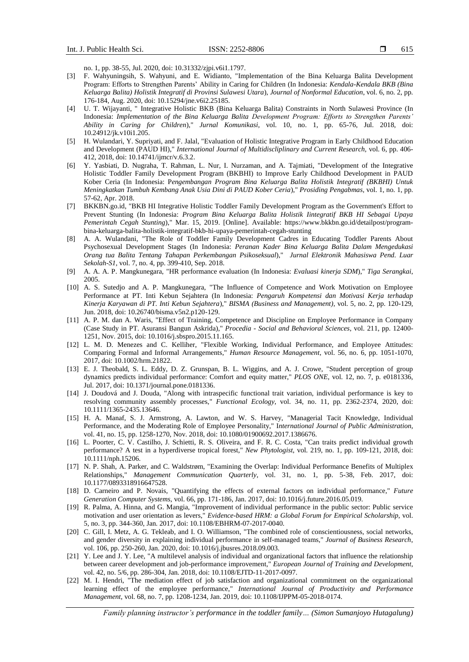no. 1, pp. 38-55, Jul. 2020, doi: 10.31332/zjpi.v6i1.1797.

- [3] F. Wahyuningsih, S. Wahyuni, and E. Widianto, "Implementation of the Bina Keluarga Balita Development Program: Efforts to Strengthen Parents' Ability in Caring for Children (In Indonesia: *Kendala-Kendala BKB (Bina Keluarga Balita) Holistik Integratif di Provinsi Sulawesi Utara*), *Journal of Nonformal Education*, vol. 6, no. 2, pp. 176-184, Aug. 2020, doi: 10.15294/jne.v6i2.25185.
- [4] U. T. Wijayanti, " Integrative Holistic BKB (Bina Keluarga Balita) Constraints in North Sulawesi Province (In Indonesia: *Implementation of the Bina Keluarga Balita Development Program: Efforts to Strengthen Parents' Ability in Caring for Children*)," *Jurnal Komunikasi*, vol. 10, no. 1, pp. 65-76, Jul. 2018, doi: 10.24912/jk.v10i1.205.
- [5] H. Wulandari, Y. Supriyati, and F. Jalal, "Evaluation of Holistic Integrative Program in Early Childhood Education and Development (PAUD HI)," *International Journal of Multidiscliplinary and Current Research,* vol. 6, pp. 406- 412, 2018, doi: 10.14741/ijmcr/v.6.3.2.
- [6] Y. Yasbiati, D. Nugraha, T. Rahman, L. Nur, I. Nurzaman, and A. Tajmiati, "Development of the Integrative Holistic Toddler Family Development Program (BKBHI) to Improve Early Childhood Development in PAUD Kober Ceria (In Indonesia: P*engembangan Program Bina Keluarga Balita Holistik Integratif (BKBHI) Untuk Meningkatkan Tumbuh Kembang Anak Usia Dini di PAUD Kober Ceria*)," *Prosiding Pengabmas*, vol. 1, no. 1, pp. 57-62, Apr. 2018.
- [7] BKKBN.go.id, "BKB HI Integrative Holistic Toddler Family Development Program as the Government's Effort to Prevent Stunting (In Indonesia: *Program Bina Keluarga Balita Holistik Iintegratif BKB HI Sebagai Upaya Pemerintah Cegah Stunting*)," Mar. 15, 2019. [Online]. Available: https://www.bkkbn.go.id/detailpost/programbina-keluarga-balita-holistik-integratif-bkb-hi-upaya-pemerintah-cegah-stunting
- [8] A. A. Wulandani, "The Role of Toddler Family Development Cadres in Educating Toddler Parents About Psychosexual Development Stages (In Indonesia: *Peranan Kader Bina Keluarga Balita Dalam Mengedukasi Orang tua Balita Tentang Tahapan Perkembangan Psikoseksual*)," *Jurnal Elektronik Mahasiswa Pend. Luar Sekolah-S1*, vol. 7, no. 4, pp. 399-410, Sep. 2018.
- [9] A. A. A. P. Mangkunegara, "HR performance evaluation (In Indonesia: *Evaluasi kinerja SDM*)," *Tiga Serangkai*, 2005.
- [10] A. S. Sutedjo and A. P. Mangkunegara, "The Influence of Competence and Work Motivation on Employee Performance at PT. Inti Kebun Sejahtera (In Indonesia: *Pengaruh Kompetensi dan Motivasi Kerja terhadap Kinerja Karyawan di PT. Inti Kebun Sejahtera*)," *BISMA (Business and Management),* vol. 5, no. 2, pp. 120-129, Jun. 2018, doi: 10.26740/bisma.v5n2.p120-129.
- [11] A. P. M. dan A. Waris, "Effect of Training, Competence and Discipline on Employee Performance in Company (Case Study in PT. Asuransi Bangun Askrida)," *Procedia - Social and Behavioral Sciences*, vol. 211, pp. 12400- 1251, Nov. 2015, doi: 10.1016/j.sbspro.2015.11.165.
- [12] L. M. D. Menezes and C. Kelliher, "Flexible Working, Individual Performance, and Employee Attitudes: Comparing Formal and Informal Arrangements," *Human Resource Management*, vol. 56, no. 6, pp. 1051-1070, 2017, doi: 10.1002/hrm.21822.
- [13] E. J. Theobald, S. L. Eddy, D. Z. Grunspan, B. L. Wiggins, and A. J. Crowe, "Student perception of group dynamics predicts individual performance: Comfort and equity matter," *PLOS ONE*, vol. 12, no. 7, p. e0181336, Jul. 2017, doi: 10.1371/journal.pone.0181336.
- [14] J. Doudová and J. Douda, "Along with intraspecific functional trait variation, individual performance is key to resolving community assembly processes," *Functional Ecology*, vol. 34, no. 11, pp. 2362-2374, 2020, doi: 10.1111/1365-2435.13646.
- [15] H. A. Manaf, S. J. Armstrong, A. Lawton, and W. S. Harvey, "Managerial Tacit Knowledge, Individual Performance, and the Moderating Role of Employee Personality," I*nternational Journal of Public Administration*, vol. 41, no. 15, pp. 1258-1270, Nov. 2018, doi: 10.1080/01900692.2017.1386676.
- [16] L. Poorter, C. V. Castilho, J. Schietti, R. S. Oliveira, and F. R. C. Costa, "Can traits predict individual growth performance? A test in a hyperdiverse tropical forest," *New Phytologist*, vol. 219, no. 1, pp. 109-121, 2018, doi: 10.1111/nph.15206.
- [17] N. P. Shah, A. Parker, and C. Waldstrøm, "Examining the Overlap: Individual Performance Benefits of Multiplex Relationships," *Management Communication Quarterly*, vol. 31, no. 1, pp. 5-38, Feb. 2017, doi: 10.1177/0893318916647528.
- [18] D. Carneiro and P. Novais, "Quantifying the effects of external factors on individual performance," *Future Generation Computer Systems*, vol. 66, pp. 171-186, Jan. 2017, doi: 10.1016/j.future.2016.05.019.
- [19] R. Palma, A. Hinna, and G. Mangia, "Improvement of individual performance in the public sector: Public service motivation and user orientation as levers," *Evidence-based HRM: a Global Forum for Empirical Scholarship*, vol. 5, no. 3, pp. 344-360, Jan. 2017, doi: 10.1108/EBHRM-07-2017-0040.
- [20] C. Gill, I. Metz, A. G. Tekleab, and I. O. Williamson, "The combined role of conscientiousness, social networks, and gender diversity in explaining individual performance in self-managed teams," *Journal of Business Research*, vol. 106, pp. 250-260, Jan. 2020, doi: 10.1016/j.jbusres.2018.09.003.
- [21] Y. Lee and J. Y. Lee, "A multilevel analysis of individual and organizational factors that influence the relationship between career development and job-performance improvement," *European Journal of Training and Development*, vol. 42, no. 5/6, pp. 286-304, Jan. 2018, doi: 10.1108/EJTD-11-2017-0097.
- [22] M. I. Hendri, "The mediation effect of job satisfaction and organizational commitment on the organizational learning effect of the employee performance," *International Journal of Productivity and Performance Management*, vol. 68, no. 7, pp. 1208-1234, Jan. 2019, doi: 10.1108/IJPPM-05-2018-0174.